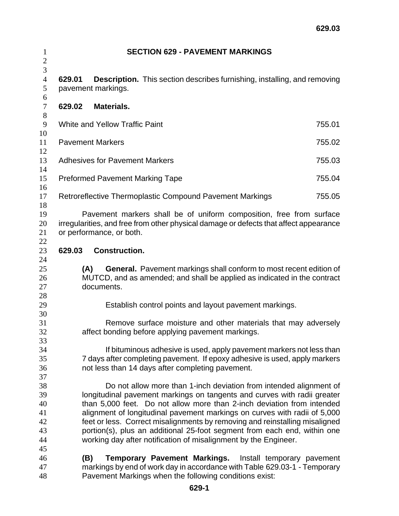| 3<br>$\overline{4}$<br><b>Description.</b> This section describes furnishing, installing, and removing<br>629.01<br>5<br>pavement markings.<br>6<br>629.02<br>Materials.<br>$\tau$<br>8<br>9<br><b>White and Yellow Traffic Paint</b><br>755.01<br>10<br>11<br><b>Pavement Markers</b><br>755.02<br>12<br>13<br><b>Adhesives for Pavement Markers</b><br>755.03<br>14<br>15<br>755.04<br><b>Preformed Pavement Marking Tape</b><br>16<br>Retroreflective Thermoplastic Compound Pavement Markings<br>17<br>755.05<br>18<br>19<br>Pavement markers shall be of uniform composition, free from surface<br>irregularities, and free from other physical damage or defects that affect appearance<br>20<br>21<br>or performance, or both.<br>22<br>23<br>629.03<br><b>Construction.</b><br>24<br>25<br><b>General.</b> Pavement markings shall conform to most recent edition of<br>(A)<br>MUTCD, and as amended; and shall be applied as indicated in the contract<br>26<br>27<br>documents.<br>28<br>29<br>Establish control points and layout pavement markings.<br>30<br>31<br>Remove surface moisture and other materials that may adversely<br>32<br>affect bonding before applying pavement markings.<br>33<br>If bituminous adhesive is used, apply pavement markers not less than<br>34<br>35<br>7 days after completing pavement. If epoxy adhesive is used, apply markers<br>not less than 14 days after completing pavement.<br>36<br>37<br>38<br>Do not allow more than 1-inch deviation from intended alignment of<br>longitudinal pavement markings on tangents and curves with radii greater<br>39<br>than 5,000 feet. Do not allow more than 2-inch deviation from intended<br>40<br>alignment of longitudinal pavement markings on curves with radii of 5,000<br>41<br>feet or less. Correct misalignments by removing and reinstalling misaligned<br>42<br>portion(s), plus an additional 25-foot segment from each end, within one<br>43<br>working day after notification of misalignment by the Engineer.<br>44<br>45<br>46<br>Temporary Pavement Markings. Install temporary pavement<br>(B)<br>markings by end of work day in accordance with Table 629.03-1 - Temporary<br>47<br>Pavement Markings when the following conditions exist:<br>48 | $\mathbf{1}$   | <b>SECTION 629 - PAVEMENT MARKINGS</b> |  |
|--------------------------------------------------------------------------------------------------------------------------------------------------------------------------------------------------------------------------------------------------------------------------------------------------------------------------------------------------------------------------------------------------------------------------------------------------------------------------------------------------------------------------------------------------------------------------------------------------------------------------------------------------------------------------------------------------------------------------------------------------------------------------------------------------------------------------------------------------------------------------------------------------------------------------------------------------------------------------------------------------------------------------------------------------------------------------------------------------------------------------------------------------------------------------------------------------------------------------------------------------------------------------------------------------------------------------------------------------------------------------------------------------------------------------------------------------------------------------------------------------------------------------------------------------------------------------------------------------------------------------------------------------------------------------------------------------------------------------------------------------------------------------------------------------------------------------------------------------------------------------------------------------------------------------------------------------------------------------------------------------------------------------------------------------------------------------------------------------------------------------------------------------------------------------------------------------------------------------------------------------------------------|----------------|----------------------------------------|--|
|                                                                                                                                                                                                                                                                                                                                                                                                                                                                                                                                                                                                                                                                                                                                                                                                                                                                                                                                                                                                                                                                                                                                                                                                                                                                                                                                                                                                                                                                                                                                                                                                                                                                                                                                                                                                                                                                                                                                                                                                                                                                                                                                                                                                                                                                    | $\overline{2}$ |                                        |  |
|                                                                                                                                                                                                                                                                                                                                                                                                                                                                                                                                                                                                                                                                                                                                                                                                                                                                                                                                                                                                                                                                                                                                                                                                                                                                                                                                                                                                                                                                                                                                                                                                                                                                                                                                                                                                                                                                                                                                                                                                                                                                                                                                                                                                                                                                    |                |                                        |  |
|                                                                                                                                                                                                                                                                                                                                                                                                                                                                                                                                                                                                                                                                                                                                                                                                                                                                                                                                                                                                                                                                                                                                                                                                                                                                                                                                                                                                                                                                                                                                                                                                                                                                                                                                                                                                                                                                                                                                                                                                                                                                                                                                                                                                                                                                    |                |                                        |  |
|                                                                                                                                                                                                                                                                                                                                                                                                                                                                                                                                                                                                                                                                                                                                                                                                                                                                                                                                                                                                                                                                                                                                                                                                                                                                                                                                                                                                                                                                                                                                                                                                                                                                                                                                                                                                                                                                                                                                                                                                                                                                                                                                                                                                                                                                    |                |                                        |  |
|                                                                                                                                                                                                                                                                                                                                                                                                                                                                                                                                                                                                                                                                                                                                                                                                                                                                                                                                                                                                                                                                                                                                                                                                                                                                                                                                                                                                                                                                                                                                                                                                                                                                                                                                                                                                                                                                                                                                                                                                                                                                                                                                                                                                                                                                    |                |                                        |  |
|                                                                                                                                                                                                                                                                                                                                                                                                                                                                                                                                                                                                                                                                                                                                                                                                                                                                                                                                                                                                                                                                                                                                                                                                                                                                                                                                                                                                                                                                                                                                                                                                                                                                                                                                                                                                                                                                                                                                                                                                                                                                                                                                                                                                                                                                    |                |                                        |  |
|                                                                                                                                                                                                                                                                                                                                                                                                                                                                                                                                                                                                                                                                                                                                                                                                                                                                                                                                                                                                                                                                                                                                                                                                                                                                                                                                                                                                                                                                                                                                                                                                                                                                                                                                                                                                                                                                                                                                                                                                                                                                                                                                                                                                                                                                    |                |                                        |  |
|                                                                                                                                                                                                                                                                                                                                                                                                                                                                                                                                                                                                                                                                                                                                                                                                                                                                                                                                                                                                                                                                                                                                                                                                                                                                                                                                                                                                                                                                                                                                                                                                                                                                                                                                                                                                                                                                                                                                                                                                                                                                                                                                                                                                                                                                    |                |                                        |  |
|                                                                                                                                                                                                                                                                                                                                                                                                                                                                                                                                                                                                                                                                                                                                                                                                                                                                                                                                                                                                                                                                                                                                                                                                                                                                                                                                                                                                                                                                                                                                                                                                                                                                                                                                                                                                                                                                                                                                                                                                                                                                                                                                                                                                                                                                    |                |                                        |  |
|                                                                                                                                                                                                                                                                                                                                                                                                                                                                                                                                                                                                                                                                                                                                                                                                                                                                                                                                                                                                                                                                                                                                                                                                                                                                                                                                                                                                                                                                                                                                                                                                                                                                                                                                                                                                                                                                                                                                                                                                                                                                                                                                                                                                                                                                    |                |                                        |  |
|                                                                                                                                                                                                                                                                                                                                                                                                                                                                                                                                                                                                                                                                                                                                                                                                                                                                                                                                                                                                                                                                                                                                                                                                                                                                                                                                                                                                                                                                                                                                                                                                                                                                                                                                                                                                                                                                                                                                                                                                                                                                                                                                                                                                                                                                    |                |                                        |  |
|                                                                                                                                                                                                                                                                                                                                                                                                                                                                                                                                                                                                                                                                                                                                                                                                                                                                                                                                                                                                                                                                                                                                                                                                                                                                                                                                                                                                                                                                                                                                                                                                                                                                                                                                                                                                                                                                                                                                                                                                                                                                                                                                                                                                                                                                    |                |                                        |  |
|                                                                                                                                                                                                                                                                                                                                                                                                                                                                                                                                                                                                                                                                                                                                                                                                                                                                                                                                                                                                                                                                                                                                                                                                                                                                                                                                                                                                                                                                                                                                                                                                                                                                                                                                                                                                                                                                                                                                                                                                                                                                                                                                                                                                                                                                    |                |                                        |  |
|                                                                                                                                                                                                                                                                                                                                                                                                                                                                                                                                                                                                                                                                                                                                                                                                                                                                                                                                                                                                                                                                                                                                                                                                                                                                                                                                                                                                                                                                                                                                                                                                                                                                                                                                                                                                                                                                                                                                                                                                                                                                                                                                                                                                                                                                    |                |                                        |  |
|                                                                                                                                                                                                                                                                                                                                                                                                                                                                                                                                                                                                                                                                                                                                                                                                                                                                                                                                                                                                                                                                                                                                                                                                                                                                                                                                                                                                                                                                                                                                                                                                                                                                                                                                                                                                                                                                                                                                                                                                                                                                                                                                                                                                                                                                    |                |                                        |  |
|                                                                                                                                                                                                                                                                                                                                                                                                                                                                                                                                                                                                                                                                                                                                                                                                                                                                                                                                                                                                                                                                                                                                                                                                                                                                                                                                                                                                                                                                                                                                                                                                                                                                                                                                                                                                                                                                                                                                                                                                                                                                                                                                                                                                                                                                    |                |                                        |  |
|                                                                                                                                                                                                                                                                                                                                                                                                                                                                                                                                                                                                                                                                                                                                                                                                                                                                                                                                                                                                                                                                                                                                                                                                                                                                                                                                                                                                                                                                                                                                                                                                                                                                                                                                                                                                                                                                                                                                                                                                                                                                                                                                                                                                                                                                    |                |                                        |  |
|                                                                                                                                                                                                                                                                                                                                                                                                                                                                                                                                                                                                                                                                                                                                                                                                                                                                                                                                                                                                                                                                                                                                                                                                                                                                                                                                                                                                                                                                                                                                                                                                                                                                                                                                                                                                                                                                                                                                                                                                                                                                                                                                                                                                                                                                    |                |                                        |  |
|                                                                                                                                                                                                                                                                                                                                                                                                                                                                                                                                                                                                                                                                                                                                                                                                                                                                                                                                                                                                                                                                                                                                                                                                                                                                                                                                                                                                                                                                                                                                                                                                                                                                                                                                                                                                                                                                                                                                                                                                                                                                                                                                                                                                                                                                    |                |                                        |  |
|                                                                                                                                                                                                                                                                                                                                                                                                                                                                                                                                                                                                                                                                                                                                                                                                                                                                                                                                                                                                                                                                                                                                                                                                                                                                                                                                                                                                                                                                                                                                                                                                                                                                                                                                                                                                                                                                                                                                                                                                                                                                                                                                                                                                                                                                    |                |                                        |  |
|                                                                                                                                                                                                                                                                                                                                                                                                                                                                                                                                                                                                                                                                                                                                                                                                                                                                                                                                                                                                                                                                                                                                                                                                                                                                                                                                                                                                                                                                                                                                                                                                                                                                                                                                                                                                                                                                                                                                                                                                                                                                                                                                                                                                                                                                    |                |                                        |  |
|                                                                                                                                                                                                                                                                                                                                                                                                                                                                                                                                                                                                                                                                                                                                                                                                                                                                                                                                                                                                                                                                                                                                                                                                                                                                                                                                                                                                                                                                                                                                                                                                                                                                                                                                                                                                                                                                                                                                                                                                                                                                                                                                                                                                                                                                    |                |                                        |  |
|                                                                                                                                                                                                                                                                                                                                                                                                                                                                                                                                                                                                                                                                                                                                                                                                                                                                                                                                                                                                                                                                                                                                                                                                                                                                                                                                                                                                                                                                                                                                                                                                                                                                                                                                                                                                                                                                                                                                                                                                                                                                                                                                                                                                                                                                    |                |                                        |  |
|                                                                                                                                                                                                                                                                                                                                                                                                                                                                                                                                                                                                                                                                                                                                                                                                                                                                                                                                                                                                                                                                                                                                                                                                                                                                                                                                                                                                                                                                                                                                                                                                                                                                                                                                                                                                                                                                                                                                                                                                                                                                                                                                                                                                                                                                    |                |                                        |  |
|                                                                                                                                                                                                                                                                                                                                                                                                                                                                                                                                                                                                                                                                                                                                                                                                                                                                                                                                                                                                                                                                                                                                                                                                                                                                                                                                                                                                                                                                                                                                                                                                                                                                                                                                                                                                                                                                                                                                                                                                                                                                                                                                                                                                                                                                    |                |                                        |  |
|                                                                                                                                                                                                                                                                                                                                                                                                                                                                                                                                                                                                                                                                                                                                                                                                                                                                                                                                                                                                                                                                                                                                                                                                                                                                                                                                                                                                                                                                                                                                                                                                                                                                                                                                                                                                                                                                                                                                                                                                                                                                                                                                                                                                                                                                    |                |                                        |  |
|                                                                                                                                                                                                                                                                                                                                                                                                                                                                                                                                                                                                                                                                                                                                                                                                                                                                                                                                                                                                                                                                                                                                                                                                                                                                                                                                                                                                                                                                                                                                                                                                                                                                                                                                                                                                                                                                                                                                                                                                                                                                                                                                                                                                                                                                    |                |                                        |  |
|                                                                                                                                                                                                                                                                                                                                                                                                                                                                                                                                                                                                                                                                                                                                                                                                                                                                                                                                                                                                                                                                                                                                                                                                                                                                                                                                                                                                                                                                                                                                                                                                                                                                                                                                                                                                                                                                                                                                                                                                                                                                                                                                                                                                                                                                    |                |                                        |  |
|                                                                                                                                                                                                                                                                                                                                                                                                                                                                                                                                                                                                                                                                                                                                                                                                                                                                                                                                                                                                                                                                                                                                                                                                                                                                                                                                                                                                                                                                                                                                                                                                                                                                                                                                                                                                                                                                                                                                                                                                                                                                                                                                                                                                                                                                    |                |                                        |  |
|                                                                                                                                                                                                                                                                                                                                                                                                                                                                                                                                                                                                                                                                                                                                                                                                                                                                                                                                                                                                                                                                                                                                                                                                                                                                                                                                                                                                                                                                                                                                                                                                                                                                                                                                                                                                                                                                                                                                                                                                                                                                                                                                                                                                                                                                    |                |                                        |  |
|                                                                                                                                                                                                                                                                                                                                                                                                                                                                                                                                                                                                                                                                                                                                                                                                                                                                                                                                                                                                                                                                                                                                                                                                                                                                                                                                                                                                                                                                                                                                                                                                                                                                                                                                                                                                                                                                                                                                                                                                                                                                                                                                                                                                                                                                    |                |                                        |  |
|                                                                                                                                                                                                                                                                                                                                                                                                                                                                                                                                                                                                                                                                                                                                                                                                                                                                                                                                                                                                                                                                                                                                                                                                                                                                                                                                                                                                                                                                                                                                                                                                                                                                                                                                                                                                                                                                                                                                                                                                                                                                                                                                                                                                                                                                    |                |                                        |  |
|                                                                                                                                                                                                                                                                                                                                                                                                                                                                                                                                                                                                                                                                                                                                                                                                                                                                                                                                                                                                                                                                                                                                                                                                                                                                                                                                                                                                                                                                                                                                                                                                                                                                                                                                                                                                                                                                                                                                                                                                                                                                                                                                                                                                                                                                    |                |                                        |  |
|                                                                                                                                                                                                                                                                                                                                                                                                                                                                                                                                                                                                                                                                                                                                                                                                                                                                                                                                                                                                                                                                                                                                                                                                                                                                                                                                                                                                                                                                                                                                                                                                                                                                                                                                                                                                                                                                                                                                                                                                                                                                                                                                                                                                                                                                    |                |                                        |  |
|                                                                                                                                                                                                                                                                                                                                                                                                                                                                                                                                                                                                                                                                                                                                                                                                                                                                                                                                                                                                                                                                                                                                                                                                                                                                                                                                                                                                                                                                                                                                                                                                                                                                                                                                                                                                                                                                                                                                                                                                                                                                                                                                                                                                                                                                    |                |                                        |  |
|                                                                                                                                                                                                                                                                                                                                                                                                                                                                                                                                                                                                                                                                                                                                                                                                                                                                                                                                                                                                                                                                                                                                                                                                                                                                                                                                                                                                                                                                                                                                                                                                                                                                                                                                                                                                                                                                                                                                                                                                                                                                                                                                                                                                                                                                    |                |                                        |  |
|                                                                                                                                                                                                                                                                                                                                                                                                                                                                                                                                                                                                                                                                                                                                                                                                                                                                                                                                                                                                                                                                                                                                                                                                                                                                                                                                                                                                                                                                                                                                                                                                                                                                                                                                                                                                                                                                                                                                                                                                                                                                                                                                                                                                                                                                    |                |                                        |  |
|                                                                                                                                                                                                                                                                                                                                                                                                                                                                                                                                                                                                                                                                                                                                                                                                                                                                                                                                                                                                                                                                                                                                                                                                                                                                                                                                                                                                                                                                                                                                                                                                                                                                                                                                                                                                                                                                                                                                                                                                                                                                                                                                                                                                                                                                    |                |                                        |  |
|                                                                                                                                                                                                                                                                                                                                                                                                                                                                                                                                                                                                                                                                                                                                                                                                                                                                                                                                                                                                                                                                                                                                                                                                                                                                                                                                                                                                                                                                                                                                                                                                                                                                                                                                                                                                                                                                                                                                                                                                                                                                                                                                                                                                                                                                    |                |                                        |  |
|                                                                                                                                                                                                                                                                                                                                                                                                                                                                                                                                                                                                                                                                                                                                                                                                                                                                                                                                                                                                                                                                                                                                                                                                                                                                                                                                                                                                                                                                                                                                                                                                                                                                                                                                                                                                                                                                                                                                                                                                                                                                                                                                                                                                                                                                    |                |                                        |  |
|                                                                                                                                                                                                                                                                                                                                                                                                                                                                                                                                                                                                                                                                                                                                                                                                                                                                                                                                                                                                                                                                                                                                                                                                                                                                                                                                                                                                                                                                                                                                                                                                                                                                                                                                                                                                                                                                                                                                                                                                                                                                                                                                                                                                                                                                    |                |                                        |  |
|                                                                                                                                                                                                                                                                                                                                                                                                                                                                                                                                                                                                                                                                                                                                                                                                                                                                                                                                                                                                                                                                                                                                                                                                                                                                                                                                                                                                                                                                                                                                                                                                                                                                                                                                                                                                                                                                                                                                                                                                                                                                                                                                                                                                                                                                    |                |                                        |  |
|                                                                                                                                                                                                                                                                                                                                                                                                                                                                                                                                                                                                                                                                                                                                                                                                                                                                                                                                                                                                                                                                                                                                                                                                                                                                                                                                                                                                                                                                                                                                                                                                                                                                                                                                                                                                                                                                                                                                                                                                                                                                                                                                                                                                                                                                    |                |                                        |  |
|                                                                                                                                                                                                                                                                                                                                                                                                                                                                                                                                                                                                                                                                                                                                                                                                                                                                                                                                                                                                                                                                                                                                                                                                                                                                                                                                                                                                                                                                                                                                                                                                                                                                                                                                                                                                                                                                                                                                                                                                                                                                                                                                                                                                                                                                    |                |                                        |  |
|                                                                                                                                                                                                                                                                                                                                                                                                                                                                                                                                                                                                                                                                                                                                                                                                                                                                                                                                                                                                                                                                                                                                                                                                                                                                                                                                                                                                                                                                                                                                                                                                                                                                                                                                                                                                                                                                                                                                                                                                                                                                                                                                                                                                                                                                    |                |                                        |  |
|                                                                                                                                                                                                                                                                                                                                                                                                                                                                                                                                                                                                                                                                                                                                                                                                                                                                                                                                                                                                                                                                                                                                                                                                                                                                                                                                                                                                                                                                                                                                                                                                                                                                                                                                                                                                                                                                                                                                                                                                                                                                                                                                                                                                                                                                    |                |                                        |  |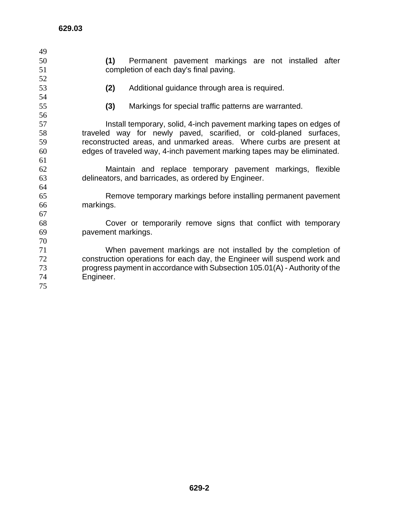| 49 |                                                                             |
|----|-----------------------------------------------------------------------------|
| 50 | (1)<br>Permanent pavement markings are not installed after                  |
| 51 | completion of each day's final paving.                                      |
| 52 |                                                                             |
| 53 | (2)<br>Additional guidance through area is required.                        |
| 54 |                                                                             |
| 55 | (3)<br>Markings for special traffic patterns are warranted.                 |
| 56 |                                                                             |
| 57 | Install temporary, solid, 4-inch pavement marking tapes on edges of         |
| 58 | traveled way for newly paved, scarified, or cold-planed surfaces,           |
| 59 | reconstructed areas, and unmarked areas. Where curbs are present at         |
| 60 | edges of traveled way, 4-inch pavement marking tapes may be eliminated.     |
| 61 |                                                                             |
| 62 | Maintain and replace temporary pavement markings, flexible                  |
| 63 | delineators, and barricades, as ordered by Engineer.                        |
| 64 |                                                                             |
| 65 | Remove temporary markings before installing permanent pavement              |
| 66 | markings.                                                                   |
| 67 |                                                                             |
| 68 | Cover or temporarily remove signs that conflict with temporary              |
| 69 | pavement markings.                                                          |
| 70 |                                                                             |
| 71 | When pavement markings are not installed by the completion of               |
| 72 | construction operations for each day, the Engineer will suspend work and    |
| 73 | progress payment in accordance with Subsection 105.01(A) - Authority of the |
| 74 | Engineer.                                                                   |
| 75 |                                                                             |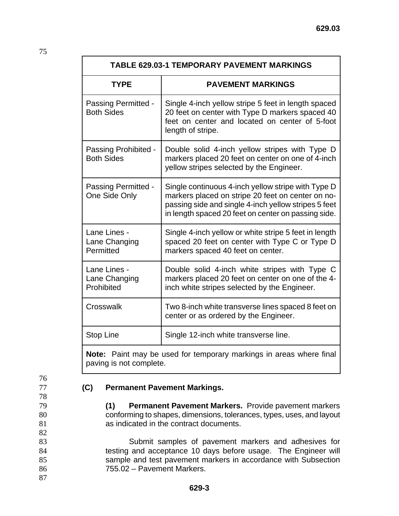| <b>TABLE 629.03-1 TEMPORARY PAVEMENT MARKINGS</b> |                                                                                                                                                                                                                        |  |  |  |
|---------------------------------------------------|------------------------------------------------------------------------------------------------------------------------------------------------------------------------------------------------------------------------|--|--|--|
| <b>TYPE</b>                                       | <b>PAVEMENT MARKINGS</b>                                                                                                                                                                                               |  |  |  |
| Passing Permitted -<br><b>Both Sides</b>          | Single 4-inch yellow stripe 5 feet in length spaced<br>20 feet on center with Type D markers spaced 40<br>feet on center and located on center of 5-foot<br>length of stripe.                                          |  |  |  |
| Passing Prohibited -<br><b>Both Sides</b>         | Double solid 4-inch yellow stripes with Type D<br>markers placed 20 feet on center on one of 4-inch<br>yellow stripes selected by the Engineer.                                                                        |  |  |  |
| Passing Permitted -<br>One Side Only              | Single continuous 4-inch yellow stripe with Type D<br>markers placed on stripe 20 feet on center on no-<br>passing side and single 4-inch yellow stripes 5 feet<br>in length spaced 20 feet on center on passing side. |  |  |  |
| Lane Lines -<br>Lane Changing<br>Permitted        | Single 4-inch yellow or white stripe 5 feet in length<br>spaced 20 feet on center with Type C or Type D<br>markers spaced 40 feet on center.                                                                           |  |  |  |
| Lane Lines -<br>Lane Changing<br>Prohibited       | Double solid 4-inch white stripes with Type C<br>markers placed 20 feet on center on one of the 4-<br>inch white stripes selected by the Engineer.                                                                     |  |  |  |
| Crosswalk                                         | Two 8-inch white transverse lines spaced 8 feet on<br>center or as ordered by the Engineer.                                                                                                                            |  |  |  |
| <b>Stop Line</b>                                  | Single 12-inch white transverse line.                                                                                                                                                                                  |  |  |  |

**Note:** Paint may be used for temporary markings in areas where final paving is not complete.

## 76

78

82

75

## 77 **(C) Permanent Pavement Markings.**

79 **(1) Permanent Pavement Markers.** Provide pavement markers 80 conforming to shapes, dimensions, tolerances, types, uses, and layout 81 as indicated in the contract documents.

Submit samples of pavement markers and adhesives for testing and acceptance 10 days before usage. The Engineer will sample and test pavement markers in accordance with Subsection 755.02 – Pavement Markers.

87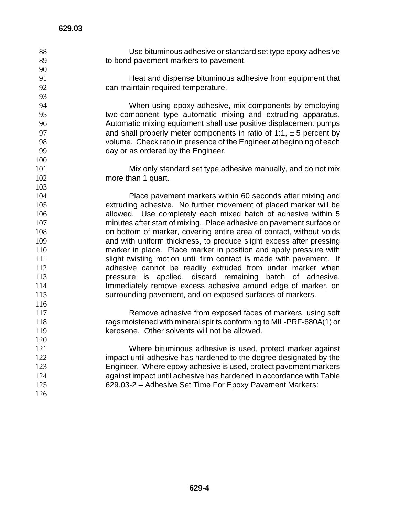- Use bituminous adhesive or standard set type epoxy adhesive to bond pavement markers to pavement.
- 

Heat and dispense bituminous adhesive from equipment that can maintain required temperature.

When using epoxy adhesive, mix components by employing two-component type automatic mixing and extruding apparatus. Automatic mixing equipment shall use positive displacement pumps **and shall properly meter components in ratio of 1:1,**  $\pm$  **5 percent by** volume. Check ratio in presence of the Engineer at beginning of each day or as ordered by the Engineer.

Mix only standard set type adhesive manually, and do not mix 102 more than 1 quart.

Place pavement markers within 60 seconds after mixing and extruding adhesive. No further movement of placed marker will be allowed. Use completely each mixed batch of adhesive within 5 minutes after start of mixing. Place adhesive on pavement surface or on bottom of marker, covering entire area of contact, without voids and with uniform thickness, to produce slight excess after pressing marker in place. Place marker in position and apply pressure with 111 slight twisting motion until firm contact is made with pavement. If 112 adhesive cannot be readily extruded from under marker when pressure is applied, discard remaining batch of adhesive. Immediately remove excess adhesive around edge of marker, on surrounding pavement, and on exposed surfaces of markers. 

Remove adhesive from exposed faces of markers, using soft rags moistened with mineral spirits conforming to MIL-PRF-680A(1) or kerosene. Other solvents will not be allowed.

Where bituminous adhesive is used, protect marker against impact until adhesive has hardened to the degree designated by the Engineer. Where epoxy adhesive is used, protect pavement markers against impact until adhesive has hardened in accordance with Table 629.03-2 – Adhesive Set Time For Epoxy Pavement Markers: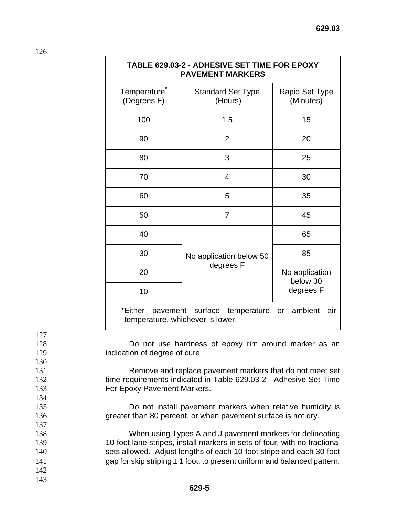|                                                      |                                                                                                                                                                                                                                                       | TABLE 629.03-2 - ADHESIVE SET TIME FOR EPOXY<br><b>PAVEMENT MARKERS</b>                                                                |                             |  |
|------------------------------------------------------|-------------------------------------------------------------------------------------------------------------------------------------------------------------------------------------------------------------------------------------------------------|----------------------------------------------------------------------------------------------------------------------------------------|-----------------------------|--|
|                                                      | Temperature <sup>*</sup><br>(Degrees F)                                                                                                                                                                                                               | <b>Standard Set Type</b><br>(Hours)                                                                                                    | Rapid Set Type<br>(Minutes) |  |
|                                                      | 100                                                                                                                                                                                                                                                   | 1.5                                                                                                                                    | 15                          |  |
|                                                      | 90                                                                                                                                                                                                                                                    | $\overline{2}$                                                                                                                         | 20                          |  |
|                                                      | 80                                                                                                                                                                                                                                                    | 3                                                                                                                                      | 25                          |  |
|                                                      | 70                                                                                                                                                                                                                                                    | $\overline{4}$                                                                                                                         | 30                          |  |
|                                                      | 60                                                                                                                                                                                                                                                    | 5                                                                                                                                      | 35                          |  |
|                                                      | 50                                                                                                                                                                                                                                                    | $\overline{7}$                                                                                                                         | 45                          |  |
|                                                      | 40                                                                                                                                                                                                                                                    |                                                                                                                                        | 65                          |  |
|                                                      | 30                                                                                                                                                                                                                                                    | No application below 50                                                                                                                | 85                          |  |
|                                                      | 20                                                                                                                                                                                                                                                    | degrees F                                                                                                                              | No application<br>below 30  |  |
|                                                      | 10                                                                                                                                                                                                                                                    |                                                                                                                                        | degrees F                   |  |
|                                                      | pavement surface temperature or ambient<br>*Either<br>air<br>temperature, whichever is lower.                                                                                                                                                         |                                                                                                                                        |                             |  |
| 127<br>128<br>129<br>130<br>131<br>132<br>133<br>134 | Do not use hardness of epoxy rim around marker as an<br>indication of degree of cure.<br>Remove and replace pavement markers that do not meet set<br>time requirements indicated in Table 629.03-2 - Adhesive Set Time<br>For Epoxy Pavement Markers. |                                                                                                                                        |                             |  |
| 135<br>136<br>137                                    |                                                                                                                                                                                                                                                       | Do not install pavement markers when relative humidity is<br>greater than 80 percent, or when pavement surface is not dry.             |                             |  |
| 138<br>139                                           |                                                                                                                                                                                                                                                       | When using Types A and J pavement markers for delineating<br>10-foot lane stripes, install markers in sets of four, with no fractional |                             |  |

126

142 143

140 sets allowed. Adjust lengths of each 10-foot stripe and each 30-foot 141 gap for skip striping  $\pm$  1 foot, to present uniform and balanced pattern.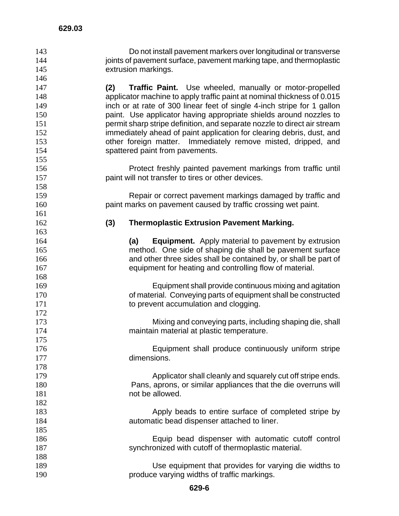| 143 | Do not install pavement markers over longitudinal or transverse          |
|-----|--------------------------------------------------------------------------|
| 144 | joints of pavement surface, pavement marking tape, and thermoplastic     |
| 145 | extrusion markings.                                                      |
| 146 |                                                                          |
| 147 | (2)<br>Traffic Paint. Use wheeled, manually or motor-propelled           |
| 148 | applicator machine to apply traffic paint at nominal thickness of 0.015  |
| 149 | inch or at rate of 300 linear feet of single 4-inch stripe for 1 gallon  |
| 150 | paint. Use applicator having appropriate shields around nozzles to       |
| 151 | permit sharp stripe definition, and separate nozzle to direct air stream |
| 152 | immediately ahead of paint application for clearing debris, dust, and    |
| 153 | other foreign matter. Immediately remove misted, dripped, and            |
| 154 | spattered paint from pavements.                                          |
| 155 |                                                                          |
| 156 | Protect freshly painted pavement markings from traffic until             |
| 157 | paint will not transfer to tires or other devices.                       |
| 158 |                                                                          |
| 159 | Repair or correct pavement markings damaged by traffic and               |
| 160 | paint marks on pavement caused by traffic crossing wet paint.            |
| 161 |                                                                          |
| 162 | (3)<br><b>Thermoplastic Extrusion Pavement Marking.</b>                  |
| 163 |                                                                          |
| 164 | <b>Equipment.</b> Apply material to pavement by extrusion<br>(a)         |
| 165 | method. One side of shaping die shall be pavement surface                |
| 166 | and other three sides shall be contained by, or shall be part of         |
| 167 | equipment for heating and controlling flow of material.                  |
| 168 |                                                                          |
| 169 | Equipment shall provide continuous mixing and agitation                  |
| 170 | of material. Conveying parts of equipment shall be constructed           |
| 171 | to prevent accumulation and clogging.                                    |
| 172 |                                                                          |
| 173 | Mixing and conveying parts, including shaping die, shall                 |
| 174 | maintain material at plastic temperature.                                |
| 175 |                                                                          |
| 176 | Equipment shall produce continuously uniform stripe                      |
| 177 | dimensions.                                                              |
| 178 |                                                                          |
| 179 | Applicator shall cleanly and squarely cut off stripe ends.               |
| 180 | Pans, aprons, or similar appliances that the die overruns will           |
| 181 | not be allowed.                                                          |
| 182 |                                                                          |
| 183 | Apply beads to entire surface of completed stripe by                     |
| 184 | automatic bead dispenser attached to liner.                              |
| 185 |                                                                          |
| 186 | Equip bead dispenser with automatic cutoff control                       |
|     |                                                                          |

 189 Use equipment that provides for varying die widths to<br>190 **produce varying widths of traffic markings**. produce varying widths of traffic markings.

187 synchronized with cutoff of thermoplastic material.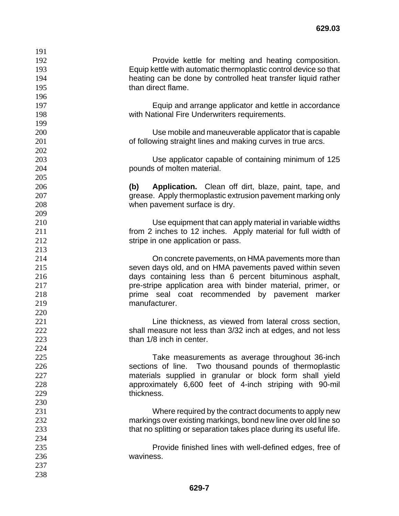| 191 |                                                                     |
|-----|---------------------------------------------------------------------|
| 192 | Provide kettle for melting and heating composition.                 |
| 193 | Equip kettle with automatic thermoplastic control device so that    |
| 194 | heating can be done by controlled heat transfer liquid rather       |
| 195 | than direct flame.                                                  |
| 196 |                                                                     |
| 197 | Equip and arrange applicator and kettle in accordance               |
| 198 | with National Fire Underwriters requirements.                       |
| 199 |                                                                     |
| 200 | Use mobile and maneuverable applicator that is capable              |
| 201 | of following straight lines and making curves in true arcs.         |
| 202 |                                                                     |
| 203 | Use applicator capable of containing minimum of 125                 |
| 204 | pounds of molten material.                                          |
| 205 |                                                                     |
| 206 | Application. Clean off dirt, blaze, paint, tape, and<br>(b)         |
| 207 | grease. Apply thermoplastic extrusion pavement marking only         |
| 208 | when pavement surface is dry.                                       |
| 209 |                                                                     |
| 210 | Use equipment that can apply material in variable widths            |
| 211 | from 2 inches to 12 inches. Apply material for full width of        |
| 212 | stripe in one application or pass.                                  |
| 213 |                                                                     |
| 214 | On concrete pavements, on HMA pavements more than                   |
| 215 | seven days old, and on HMA pavements paved within seven             |
| 216 | days containing less than 6 percent bituminous asphalt,             |
| 217 | pre-stripe application area with binder material, primer, or        |
| 218 | prime seal coat recommended by pavement marker                      |
| 219 | manufacturer.                                                       |
| 220 |                                                                     |
| 221 | Line thickness, as viewed from lateral cross section,               |
| 222 | shall measure not less than 3/32 inch at edges, and not less        |
| 223 | than 1/8 inch in center.                                            |
| 224 |                                                                     |
| 225 | Take measurements as average throughout 36-inch                     |
| 226 | sections of line. Two thousand pounds of thermoplastic              |
| 227 | materials supplied in granular or block form shall yield            |
| 228 | approximately 6,600 feet of 4-inch striping with 90-mil             |
| 229 | thickness.                                                          |
| 230 |                                                                     |
| 231 | Where required by the contract documents to apply new               |
| 232 | markings over existing markings, bond new line over old line so     |
| 233 | that no splitting or separation takes place during its useful life. |
| 234 |                                                                     |
| 235 | Provide finished lines with well-defined edges, free of             |
| 236 | waviness.                                                           |
| 237 |                                                                     |
| 238 |                                                                     |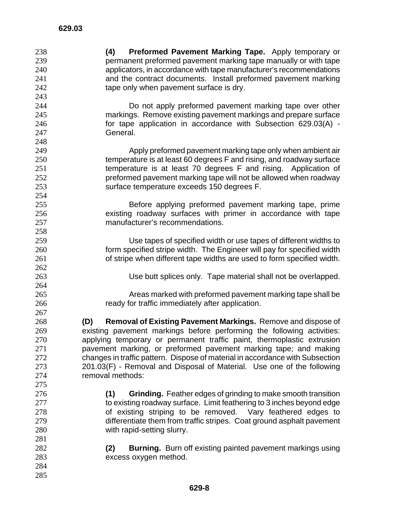**(4) Preformed Pavement Marking Tape.** Apply temporary or permanent preformed pavement marking tape manually or with tape applicators, in accordance with tape manufacturer's recommendations and the contract documents. Install preformed pavement marking 242 tape only when pavement surface is dry. Do not apply preformed pavement marking tape over other markings. Remove existing pavement markings and prepare surface for tape application in accordance with Subsection 629.03(A) - General. Apply preformed pavement marking tape only when ambient air temperature is at least 60 degrees F and rising, and roadway surface temperature is at least 70 degrees F and rising. Application of preformed pavement marking tape will not be allowed when roadway surface temperature exceeds 150 degrees F. Before applying preformed pavement marking tape, prime existing roadway surfaces with primer in accordance with tape manufacturer's recommendations. Use tapes of specified width or use tapes of different widths to form specified stripe width. The Engineer will pay for specified width of stripe when different tape widths are used to form specified width. Use butt splices only. Tape material shall not be overlapped. Areas marked with preformed pavement marking tape shall be ready for traffic immediately after application. **(D) Removal of Existing Pavement Markings.** Remove and dispose of existing pavement markings before performing the following activities: applying temporary or permanent traffic paint, thermoplastic extrusion pavement marking, or preformed pavement marking tape; and making changes in traffic pattern. Dispose of material in accordance with Subsection 201.03(F) - Removal and Disposal of Material. Use one of the following removal methods: **(1) Grinding.** Feather edges of grinding to make smooth transition 277 to existing roadway surface. Limit feathering to 3 inches beyond edge of existing striping to be removed. Vary feathered edges to differentiate them from traffic stripes. Coat ground asphalt pavement with rapid-setting slurry. **(2) Burning.** Burn off existing painted pavement markings using excess oxygen method.